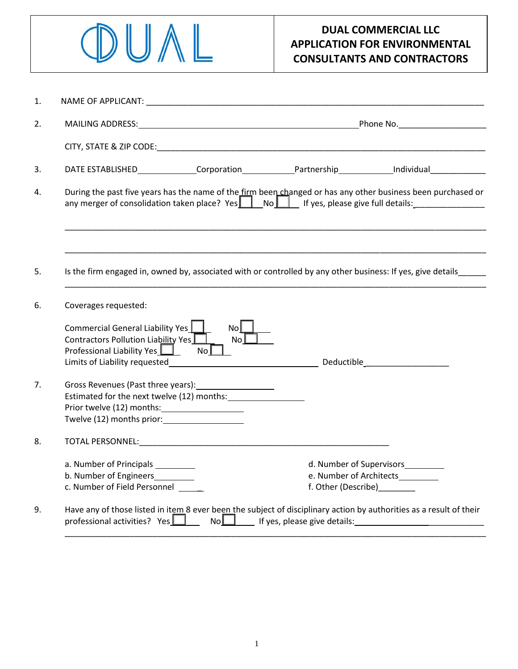

## **DUAL COMMERCIAL LLC APPLICATION FOR ENVIRONMENTAL CONSULTANTS AND CONTRACTORS**

| 1. |                                                                                                                                                                                                    |                                                                                                                                                                                                                                                                                                                                                             |
|----|----------------------------------------------------------------------------------------------------------------------------------------------------------------------------------------------------|-------------------------------------------------------------------------------------------------------------------------------------------------------------------------------------------------------------------------------------------------------------------------------------------------------------------------------------------------------------|
| 2. |                                                                                                                                                                                                    |                                                                                                                                                                                                                                                                                                                                                             |
|    |                                                                                                                                                                                                    |                                                                                                                                                                                                                                                                                                                                                             |
| 3. |                                                                                                                                                                                                    | DATE ESTABLISHED Corporation Partnership Individual Material Corporation                                                                                                                                                                                                                                                                                    |
| 4. |                                                                                                                                                                                                    | During the past five years has the name of the firm been changed or has any other business been purchased or<br>any merger of consolidation taken place? Yes    No    If yes, please give full details:                                                                                                                                                     |
| 5. |                                                                                                                                                                                                    | Is the firm engaged in, owned by, associated with or controlled by any other business: If yes, give details                                                                                                                                                                                                                                                 |
| 6. | Coverages requested:                                                                                                                                                                               |                                                                                                                                                                                                                                                                                                                                                             |
|    | No<br>Commercial General Liability Yes  <br>No <sup>2</sup><br>Contractors Pollution Liability Yes<br>Professional Liability Yes <b>Letter</b><br>No <sub>l</sub><br>Limits of Liability requested | and the control of the control of the control of the control of the control of the control of the control of the control of the control of the control of the control of the control of the control of the control of the cont                                                                                                                              |
| 7. | Gross Revenues (Past three years):<br>Estimated for the next twelve (12) months:<br>Twelve (12) months prior:                                                                                      |                                                                                                                                                                                                                                                                                                                                                             |
| 8. |                                                                                                                                                                                                    |                                                                                                                                                                                                                                                                                                                                                             |
|    | a. Number of Principals<br>b. Number of Engineers_________<br>c. Number of Field Personnel                                                                                                         | d. Number of Supervisors__________<br>e. Number of Architects<br>f. Other (Describe)_________                                                                                                                                                                                                                                                               |
| 9. | professional activities? Yes $\square$                                                                                                                                                             | Have any of those listed in item 8 ever been the subject of disciplinary action by authorities as a result of their<br>No<br>No<br>If yes, please give details:<br>The manuscription of the same of the same of the same of the same of the same of the same of the same of the same of the same of the same of the same of the same of the same of the sam |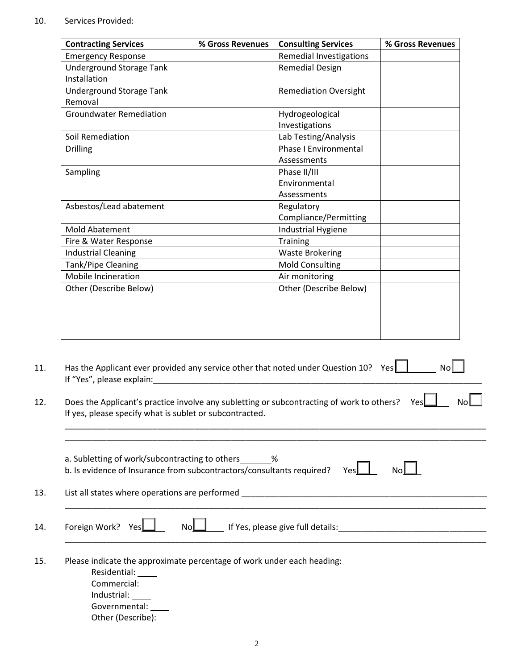## 10. Services Provided:

| <b>Remedial Investigations</b><br><b>Remedial Design</b><br><b>Remediation Oversight</b><br>Hydrogeological<br>Investigations<br>Lab Testing/Analysis<br><b>Phase I Environmental</b><br>Assessments |  |
|------------------------------------------------------------------------------------------------------------------------------------------------------------------------------------------------------|--|
|                                                                                                                                                                                                      |  |
|                                                                                                                                                                                                      |  |
|                                                                                                                                                                                                      |  |
|                                                                                                                                                                                                      |  |
|                                                                                                                                                                                                      |  |
|                                                                                                                                                                                                      |  |
|                                                                                                                                                                                                      |  |
|                                                                                                                                                                                                      |  |
|                                                                                                                                                                                                      |  |
|                                                                                                                                                                                                      |  |
| Phase II/III                                                                                                                                                                                         |  |
| Environmental                                                                                                                                                                                        |  |
| Assessments                                                                                                                                                                                          |  |
| Regulatory                                                                                                                                                                                           |  |
| Compliance/Permitting                                                                                                                                                                                |  |
| <b>Industrial Hygiene</b>                                                                                                                                                                            |  |
| <b>Training</b>                                                                                                                                                                                      |  |
| <b>Waste Brokering</b>                                                                                                                                                                               |  |
| <b>Mold Consulting</b>                                                                                                                                                                               |  |
| Air monitoring                                                                                                                                                                                       |  |
| Other (Describe Below)                                                                                                                                                                               |  |
|                                                                                                                                                                                                      |  |
|                                                                                                                                                                                                      |  |
|                                                                                                                                                                                                      |  |
|                                                                                                                                                                                                      |  |
|                                                                                                                                                                                                      |  |

| If "Yes"<br>. nlease explain: |  |  |  |
|-------------------------------|--|--|--|
|                               |  |  |  |

| 12. | Does the Applicant's practice involve any subletting or subcontracting of work to others? Yes | No |
|-----|-----------------------------------------------------------------------------------------------|----|
|     | If yes, please specify what is sublet or subcontracted.                                       |    |

\_\_\_\_\_\_\_\_\_\_\_\_\_\_\_\_\_\_\_\_\_\_\_\_\_\_\_\_\_\_\_\_\_\_\_\_\_\_\_\_\_\_\_\_\_\_\_\_\_\_\_\_\_\_\_\_\_\_\_\_\_\_\_\_\_\_\_\_\_\_\_\_\_\_\_\_\_\_\_\_\_\_\_\_\_\_\_\_\_\_\_

| b. Is evidence of Insurance from subcontractors/consultants required?<br>Yesl                                         | Nol |
|-----------------------------------------------------------------------------------------------------------------------|-----|
| List all states where operations are performed                                                                        |     |
| Foreign Work?<br>Nollargon of Yes, please give full details: 100 million of the set of the set of the Nollas.<br>YesL |     |
| Please indicate the approximate percentage of work under each heading:                                                |     |
| Residential: _____                                                                                                    |     |
| Commercial:                                                                                                           |     |
| Industrial:<br>Governmental:                                                                                          |     |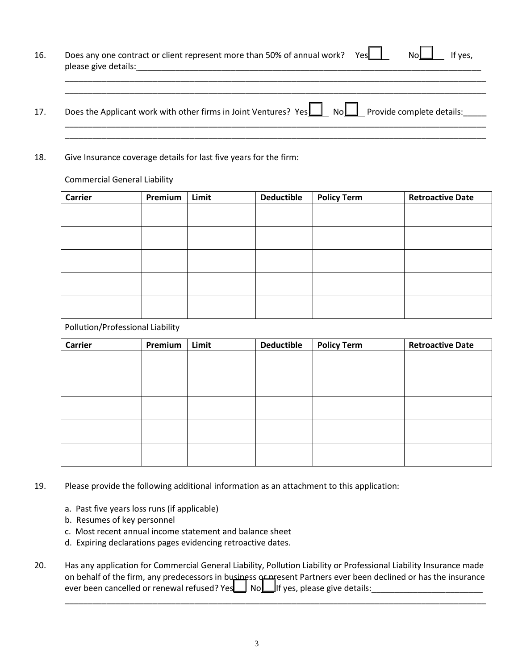| 16. | Does any one contract or client represent more than 50% of annual work?<br>please give details: | Yesl | Nol<br>If yes. |
|-----|-------------------------------------------------------------------------------------------------|------|----------------|
|     |                                                                                                 |      |                |

17. Does the Applicant work with other firms in Joint Ventures? Yes No Reprovide complete details: \_\_\_\_\_\_\_\_\_\_\_\_\_\_\_\_\_\_\_\_\_\_\_\_\_\_\_\_\_\_\_\_\_\_\_\_\_\_\_\_\_\_\_\_\_\_\_\_\_\_\_\_\_\_\_\_\_\_\_\_\_\_\_\_\_\_\_\_\_\_\_\_\_\_\_\_\_\_\_\_\_\_\_\_\_\_\_\_\_\_\_

\_\_\_\_\_\_\_\_\_\_\_\_\_\_\_\_\_\_\_\_\_\_\_\_\_\_\_\_\_\_\_\_\_\_\_\_\_\_\_\_\_\_\_\_\_\_\_\_\_\_\_\_\_\_\_\_\_\_\_\_\_\_\_\_\_\_\_\_\_\_\_\_\_\_\_\_\_\_\_\_\_\_\_\_\_\_\_\_\_\_\_

18. Give Insurance coverage details for last five years for the firm:

Commercial General Liability

| Carrier | Premium | Limit | <b>Deductible</b> | <b>Policy Term</b> | <b>Retroactive Date</b> |
|---------|---------|-------|-------------------|--------------------|-------------------------|
|         |         |       |                   |                    |                         |
|         |         |       |                   |                    |                         |
|         |         |       |                   |                    |                         |
|         |         |       |                   |                    |                         |
|         |         |       |                   |                    |                         |
|         |         |       |                   |                    |                         |
|         |         |       |                   |                    |                         |
|         |         |       |                   |                    |                         |
|         |         |       |                   |                    |                         |
|         |         |       |                   |                    |                         |

Pollution/Professional Liability

| Carrier | Premium | Limit | <b>Deductible</b> | <b>Policy Term</b> | <b>Retroactive Date</b> |
|---------|---------|-------|-------------------|--------------------|-------------------------|
|         |         |       |                   |                    |                         |
|         |         |       |                   |                    |                         |
|         |         |       |                   |                    |                         |
|         |         |       |                   |                    |                         |
|         |         |       |                   |                    |                         |
|         |         |       |                   |                    |                         |
|         |         |       |                   |                    |                         |
|         |         |       |                   |                    |                         |
|         |         |       |                   |                    |                         |
|         |         |       |                   |                    |                         |

19. Please provide the following additional information as an attachment to this application:

- a. Past five years loss runs (if applicable)
- b. Resumes of key personnel
- c. Most recent annual income statement and balance sheet
- d. Expiring declarations pages evidencing retroactive dates.
- 20. Has any application for Commercial General Liability, Pollution Liability or Professional Liability Insurance made on behalf of the firm, any predecessors in business or present Partners ever been declined or has the insurance ever been cancelled or renewal refused? Yes No If yes, please give details:\_\_\_\_\_\_\_\_\_\_\_\_\_\_\_\_\_\_\_\_\_\_\_\_

\_\_\_\_\_\_\_\_\_\_\_\_\_\_\_\_\_\_\_\_\_\_\_\_\_\_\_\_\_\_\_\_\_\_\_\_\_\_\_\_\_\_\_\_\_\_\_\_\_\_\_\_\_\_\_\_\_\_\_\_\_\_\_\_\_\_\_\_\_\_\_\_\_\_\_\_\_\_\_\_\_\_\_\_\_\_\_\_\_\_\_